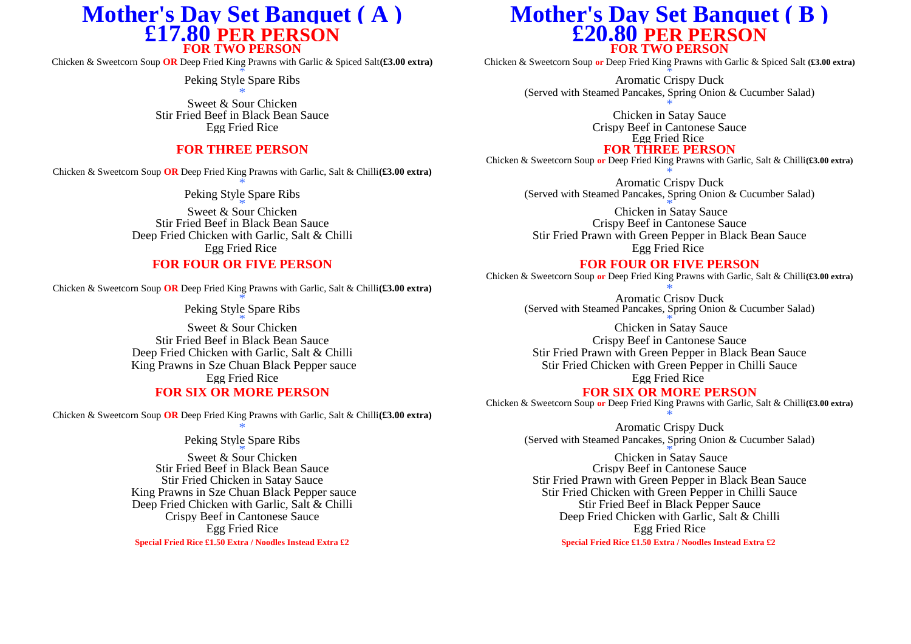# **£17.80 PER PERSON £20.80 PER PERSON**

Chicken & Sweetcorn Soup **OR** Deep Fried King Prawns with Garlic & Spiced Salt**(£3.00 extra)** Chicken & Sweetcorn Soup **or** Deep Fried King Prawns with Garlic & Spiced Salt **(£3.00 extra)**

Sweet & Sour Chicken  $*$ <br>
Sweet & Sour Chicken and Sauce  $*$ <br>
Seef in Black Bean Sauce Chicken in Satay Sauce Stir Fried Beef in Black Bean Sauce

## **FOR THREE PERSON FOR THREE PERSON**

Chicken & Sweetcorn Soup **OR** Deep Fried King Prawns with Garlic, Salt & Chilli**(£3.00 extra)** \*

Stir Fried Beef in Black Bean Sauce<br>Deep Fried Chicken with Garlic, Salt & Chilli

Chicken & Sweetcorn Soup **OR** Deep Fried King Prawns with Garlic, Salt & Chilli**(£3.00 extra)** \*

**FOR SIX OR MORE PERSON FOR SIX OR MORE PERSON**

Chicken & Sweetcorn Soup **OR** Deep Fried King Prawns with Garlic, Salt & Chilli**(£3.00 extra)** \*

\*  $\frac{1}{x}$ Stir Fried Beef in Black Bean Sauce<br>Stir Fried Chicken in Satay Sauce Deep Fried Chicken with Garlic, Salt & Chilli Stir Fried Beef in Black Pepper Sauce<br>Crispy Beef in Cantonese Sauce Deep Fried Chicken with Garlic, Salt & Cl **Special Fried Rice £1.50 Extra / Noodles Instead Extra £2 Special Fried Rice £1.50 Extra / Noodles Instead Extra £2** 

## **Mother's Day Set Banquet (A )**<br> **Mother's Day Set Banquet (B )**<br> **E17.80 PER PERSON**<br> **E20.80 PER PERSON**

**FOR TWO PERSON**<br>Chicken & Sweetcorn Soup or Deep Fried King Prawns with Garlic & Spiced Salt (£3.00 extra)

 $\frac{2}{\pi}$   $\frac{1}{\pi}$   $\frac{1}{\pi}$   $\frac{1}{\pi}$   $\frac{1}{\pi}$ Peking Style Spare Ribs **Aromatic Crispy Duck** Aromatic Crispy Duck (Served with Steamed Pancakes, Spring Onion & Cucumber Salad)

Egg Fried Rice Crispy Beef in Cantonese Sauce Egg Fried Rice

Chicken & Sweetcorn Soup **or** Deep Fried King Prawns with Garlic, Salt & Chilli**(£3.00 extra)**

\* Aromatic Crispy Duck<br>Peking Style Spare Ribs<br>(Served with Steamed Pancakes, Spring Onion (Served with Steamed Pancakes, Spring Onion & Cucumber Salad)

 $*$   $\begin{array}{ccc}\n\ast & \ast \\
\ast & \ast\n\end{array}$ Sweet & Sour Chicken Chicken Chicken Chicken Chicken in Satay Sauce<br>
Crispy Beef in Cantonese Sauce<br>
Crispy Beef in Cantonese Sauce icken with Garlic, Salt & Chilli Stir Fried Prawn with Green Pepper in Black Bean Sauce<br>Egg Fried Rice Egg Fried Rice Egg Fried Rice

### **FOR FOUR OR FIVE PERSON FOR FOUR OR FIVE PERSON**

Chicken & Sweetcorn Soup **or** Deep Fried King Prawns with Garlic, Salt & Chilli**(£3.00 extra)**

Aromatic Crispy Duck<br>Peking Style Spare Ribs<br>(Served with Steamed Pancakes, Spring Onion (Served with Steamed Pancakes, Spring Onion & Cucumber Salad)

 $*$   $\overline{\phantom{a}}$   $*$   $\overline{\phantom{a}}$   $*$   $\overline{\phantom{a}}$   $*$   $\overline{\phantom{a}}$   $*$   $\overline{\phantom{a}}$   $*$   $\overline{\phantom{a}}$   $*$   $\overline{\phantom{a}}$   $*$   $\overline{\phantom{a}}$   $*$   $\overline{\phantom{a}}$   $*$   $\overline{\phantom{a}}$   $*$   $\overline{\phantom{a}}$   $*$   $\overline{\phantom{a}}$   $*$   $\overline{\phantom{a}}$   $*$   $\overline{\phantom{a$ Sweet & Sour Chicken Chicken in Satay Sauce Chicken in Satay Sauce Chicken in Satay Sauce Stir Fried Beef in Black Bean Sauce Crispy Beef in Cantonese Sauce Deep Fried Chicken with Garlic, Salt & Chilli Stir Fried Prawn with Green Pepper in Black Bean Sauce King Prawns in Sze Chuan Black Pepper sauce Stir Fried Chicken with Green Pepper in Chilli Sauce Egg Fried Rice Egg Fried Rice

Chicken & Sweetcorn Soup **or** Deep Fried King Prawns with Garlic, Salt & Chilli**(£3.00 extra)**

\* Aromatic Crispy Duck<br>Peking Style Spare Ribs<br>(Served with Steamed Pancakes, Spring Onion (Served with Steamed Pancakes, Spring Onion & Cucumber Salad)

Sweet & Sour Chicken Chicken Chicken Chicken Chicken in Satay Sauce<br>
Figure 2013 1991 1992 Crispy Beef in Cantonese Sauce<br>
Crispy Beef in Cantonese Sauce Stir Fried Chicken in Satay Sauce<br>
Stir Fried Prawn with Green Pepper in Black Bean Sauce<br>
Stir Fried Chicken with Green Pepper in Chilli Sauce<br>
Stir Fried Chicken with Green Pepper in Chilli Sauce Stir Fried Chicken with Green Pepper in Chilli Sauce Deep Fried Chicken with Garlic, Salt & Chilli Egg Fried Rice Egg Fried Rice